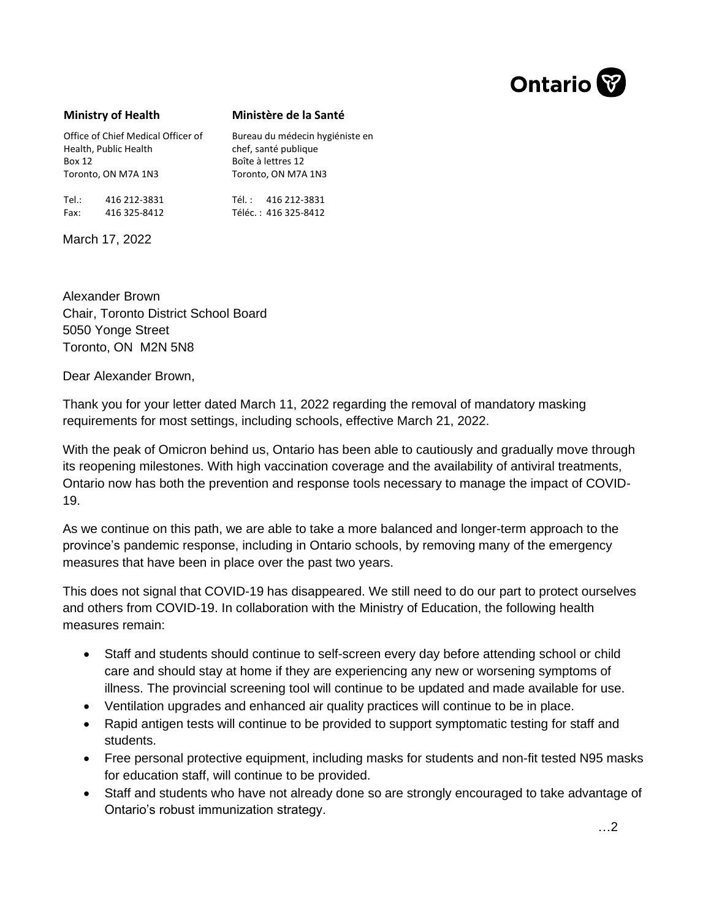

## **Ministry of Health**

## **Ministère de la Santé**

Bureau du médecin hygiéniste en

Office of Chief Medical Officer of Health, Public Health Box 12 Toronto, ON M7A 1N3

chef, santé publique Boîte à lettres 12 Toronto, ON M7A 1N3

> Tél. : 416 212-3831 Téléc. : 416 325-8412

March 17, 2022

Tel.: 416 212-3831 Fax: 416 325-8412

Alexander Brown Chair, Toronto District School Board 5050 Yonge Street Toronto, ON M2N 5N8

Dear Alexander Brown,

Thank you for your letter dated March 11, 2022 regarding the removal of mandatory masking requirements for most settings, including schools, effective March 21, 2022.

With the peak of Omicron behind us, Ontario has been able to cautiously and gradually move through its reopening milestones. With high vaccination coverage and the availability of antiviral treatments, Ontario now has both the prevention and response tools necessary to manage the impact of COVID-19.

As we continue on this path, we are able to take a more balanced and longer-term approach to the province's pandemic response, including in Ontario schools, by removing many of the emergency measures that have been in place over the past two years.

This does not signal that COVID-19 has disappeared. We still need to do our part to protect ourselves and others from COVID-19. In collaboration with the Ministry of Education, the following health measures remain:

- Staff and students should continue to self-screen every day before attending school or child care and should stay at home if they are experiencing any new or worsening symptoms of illness. The provincial screening tool will continue to be updated and made available for use.
- Ventilation upgrades and enhanced air quality practices will continue to be in place.
- Rapid antigen tests will continue to be provided to support symptomatic testing for staff and students.
- Free personal protective equipment, including masks for students and non-fit tested N95 masks for education staff, will continue to be provided.
- Staff and students who have not already done so are strongly encouraged to take advantage of Ontario's robust immunization strategy.